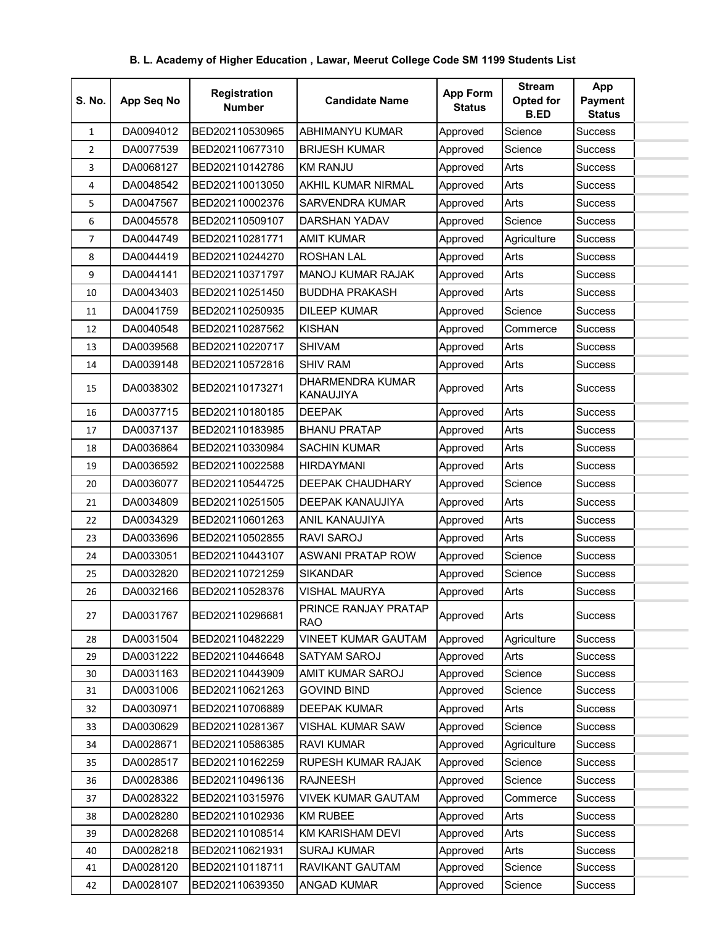| S. No.         | App Seq No | Registration<br><b>Number</b> | <b>Candidate Name</b>                | <b>App Form</b><br><b>Status</b> | <b>Stream</b><br>Opted for<br><b>B.ED</b> | App<br>Payment<br><b>Status</b> |  |
|----------------|------------|-------------------------------|--------------------------------------|----------------------------------|-------------------------------------------|---------------------------------|--|
| $\mathbf{1}$   | DA0094012  | BED202110530965               | ABHIMANYU KUMAR                      | Approved                         | Science                                   | <b>Success</b>                  |  |
| $\overline{2}$ | DA0077539  | BED202110677310               | <b>BRIJESH KUMAR</b>                 | Approved                         | Science                                   | <b>Success</b>                  |  |
| 3              | DA0068127  | BED202110142786               | <b>KM RANJU</b>                      | Approved                         | Arts                                      | <b>Success</b>                  |  |
| 4              | DA0048542  | BED202110013050               | AKHIL KUMAR NIRMAL                   | Approved                         | Arts                                      | <b>Success</b>                  |  |
| 5              | DA0047567  | BED202110002376               | SARVENDRA KUMAR                      | Approved                         | Arts                                      | Success                         |  |
| 6              | DA0045578  | BED202110509107               | <b>DARSHAN YADAV</b>                 | Approved                         | Science                                   | Success                         |  |
| 7              | DA0044749  | BED202110281771               | <b>AMIT KUMAR</b>                    | Approved                         | Agriculture                               | Success                         |  |
| 8              | DA0044419  | BED202110244270               | <b>ROSHAN LAL</b>                    | Approved                         | Arts                                      | <b>Success</b>                  |  |
| 9              | DA0044141  | BED202110371797               | <b>MANOJ KUMAR RAJAK</b>             | Approved                         | Arts                                      | <b>Success</b>                  |  |
| 10             | DA0043403  | BED202110251450               | <b>BUDDHA PRAKASH</b>                | Approved                         | Arts                                      | <b>Success</b>                  |  |
| 11             | DA0041759  | BED202110250935               | <b>DILEEP KUMAR</b>                  | Approved                         | Science                                   | <b>Success</b>                  |  |
| 12             | DA0040548  | BED202110287562               | <b>KISHAN</b>                        | Approved                         | Commerce                                  | Success                         |  |
| 13             | DA0039568  | BED202110220717               | <b>SHIVAM</b>                        | Approved                         | Arts                                      | Success                         |  |
| 14             | DA0039148  | BED202110572816               | <b>SHIV RAM</b>                      | Approved                         | Arts                                      | <b>Success</b>                  |  |
| 15             | DA0038302  | BED202110173271               | <b>DHARMENDRA KUMAR</b><br>KANAUJIYA | Approved                         | Arts                                      | <b>Success</b>                  |  |
| 16             | DA0037715  | BED202110180185               | <b>DEEPAK</b>                        | Approved                         | Arts                                      | <b>Success</b>                  |  |
| 17             | DA0037137  | BED202110183985               | <b>BHANU PRATAP</b>                  | Approved                         | Arts                                      | <b>Success</b>                  |  |
| 18             | DA0036864  | BED202110330984               | <b>SACHIN KUMAR</b>                  | Approved                         | Arts                                      | <b>Success</b>                  |  |
| 19             | DA0036592  | BED202110022588               | <b>HIRDAYMANI</b>                    | Approved                         | Arts                                      | <b>Success</b>                  |  |
| 20             | DA0036077  | BED202110544725               | DEEPAK CHAUDHARY                     | Approved                         | Science                                   | <b>Success</b>                  |  |
| 21             | DA0034809  | BED202110251505               | DEEPAK KANAUJIYA                     | Approved                         | Arts                                      | <b>Success</b>                  |  |
| 22             | DA0034329  | BED202110601263               | ANIL KANAUJIYA                       | Approved                         | Arts                                      | <b>Success</b>                  |  |
| 23             | DA0033696  | BED202110502855               | <b>RAVI SAROJ</b>                    | Approved                         | Arts                                      | Success                         |  |
| 24             | DA0033051  | BED202110443107               | <b>ASWANI PRATAP ROW</b>             | Approved                         | Science                                   | <b>Success</b>                  |  |
| 25             | DA0032820  | BED202110721259               | <b>SIKANDAR</b>                      | Approved                         | Science                                   | <b>Success</b>                  |  |
| 26             | DA0032166  | BED202110528376               | <b>VISHAL MAURYA</b>                 | Approved                         | Arts                                      | Success                         |  |
| 27             | DA0031767  | BED202110296681               | PRINCE RANJAY PRATAP<br><b>RAO</b>   | Approved                         | Arts                                      | <b>Success</b>                  |  |
| 28             | DA0031504  | BED202110482229               | VINEET KUMAR GAUTAM                  | Approved                         | Agriculture                               | <b>Success</b>                  |  |
| 29             | DA0031222  | BED202110446648               | SATYAM SAROJ                         | Approved                         | Arts                                      | <b>Success</b>                  |  |
| 30             | DA0031163  | BED202110443909               | AMIT KUMAR SAROJ                     | Approved                         | Science                                   | <b>Success</b>                  |  |
| 31             | DA0031006  | BED202110621263               | <b>GOVIND BIND</b>                   | Approved                         | Science                                   | <b>Success</b>                  |  |
| 32             | DA0030971  | BED202110706889               | <b>DEEPAK KUMAR</b>                  | Approved                         | Arts                                      | <b>Success</b>                  |  |
| 33             | DA0030629  | BED202110281367               | <b>VISHAL KUMAR SAW</b>              | Approved                         | Science                                   | Success                         |  |
| 34             | DA0028671  | BED202110586385               | <b>RAVI KUMAR</b>                    | Approved                         | Agriculture                               | <b>Success</b>                  |  |
| 35             | DA0028517  | BED202110162259               | RUPESH KUMAR RAJAK                   | Approved                         | Science                                   | <b>Success</b>                  |  |
| 36             | DA0028386  | BED202110496136               | <b>RAJNEESH</b>                      | Approved                         | Science                                   | <b>Success</b>                  |  |
| 37             | DA0028322  | BED202110315976               | <b>VIVEK KUMAR GAUTAM</b>            | Approved                         | Commerce                                  | Success                         |  |
| 38             | DA0028280  | BED202110102936               | <b>KM RUBEE</b>                      | Approved                         | Arts                                      | <b>Success</b>                  |  |
| 39             | DA0028268  | BED202110108514               | KM KARISHAM DEVI                     | Approved                         | Arts                                      | <b>Success</b>                  |  |
| 40             | DA0028218  | BED202110621931               | <b>SURAJ KUMAR</b>                   | Approved                         | Arts                                      | <b>Success</b>                  |  |
| 41             | DA0028120  | BED202110118711               | RAVIKANT GAUTAM                      | Approved                         | Science                                   | <b>Success</b>                  |  |
| 42             | DA0028107  | BED202110639350               | ANGAD KUMAR                          | Approved                         | Science                                   | <b>Success</b>                  |  |

## **B. L. Academy of Higher Education , Lawar, Meerut College Code SM 1199 Students List**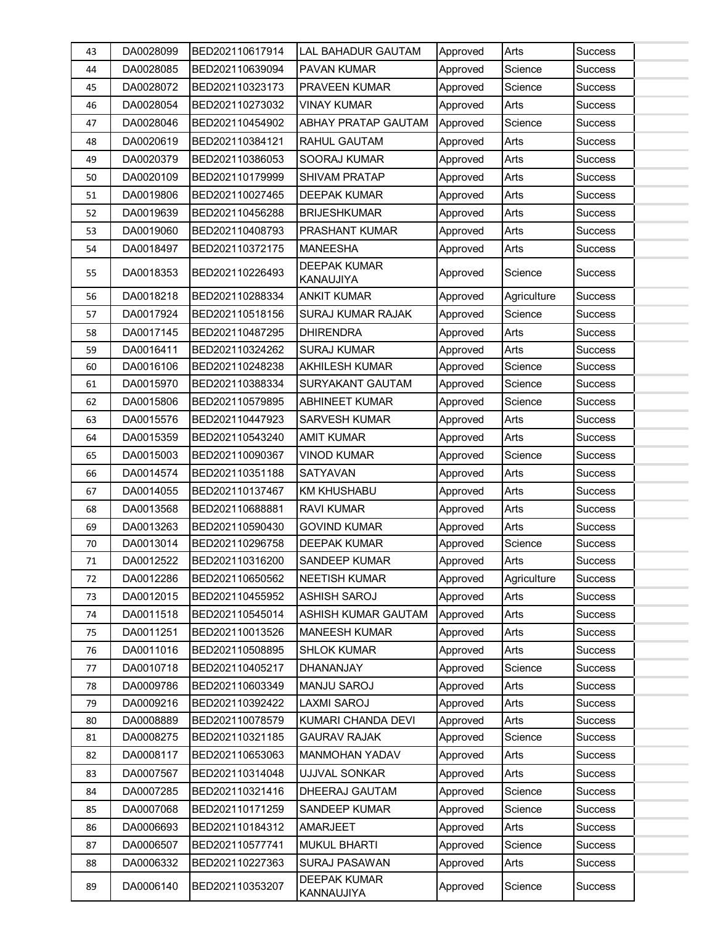| 43 | DA0028099 | BED202110617914 | <b>LAL BAHADUR GAUTAM</b>         | Approved | Arts        | <b>Success</b> |  |
|----|-----------|-----------------|-----------------------------------|----------|-------------|----------------|--|
| 44 | DA0028085 | BED202110639094 | PAVAN KUMAR                       | Approved | Science     | <b>Success</b> |  |
| 45 | DA0028072 | BED202110323173 | <b>PRAVEEN KUMAR</b>              | Approved | Science     | <b>Success</b> |  |
| 46 | DA0028054 | BED202110273032 | VINAY KUMAR                       | Approved | Arts        | <b>Success</b> |  |
| 47 | DA0028046 | BED202110454902 | ABHAY PRATAP GAUTAM               | Approved | Science     | <b>Success</b> |  |
| 48 | DA0020619 | BED202110384121 | RAHUL GAUTAM                      | Approved | Arts        | <b>Success</b> |  |
| 49 | DA0020379 | BED202110386053 | <b>SOORAJ KUMAR</b>               | Approved | Arts        | <b>Success</b> |  |
| 50 | DA0020109 | BED202110179999 | <b>SHIVAM PRATAP</b>              | Approved | Arts        | <b>Success</b> |  |
| 51 | DA0019806 | BED202110027465 | <b>DEEPAK KUMAR</b>               | Approved | Arts        | Success        |  |
| 52 | DA0019639 | BED202110456288 | <b>BRIJESHKUMAR</b>               | Approved | Arts        | <b>Success</b> |  |
| 53 | DA0019060 | BED202110408793 | PRASHANT KUMAR                    | Approved | Arts        | <b>Success</b> |  |
| 54 | DA0018497 | BED202110372175 | <b>MANEESHA</b>                   | Approved | Arts        | <b>Success</b> |  |
| 55 | DA0018353 | BED202110226493 | <b>DEEPAK KUMAR</b><br>KANAUJIYA  | Approved | Science     | <b>Success</b> |  |
| 56 | DA0018218 | BED202110288334 | <b>ANKIT KUMAR</b>                | Approved | Agriculture | <b>Success</b> |  |
| 57 | DA0017924 | BED202110518156 | <b>SURAJ KUMAR RAJAK</b>          | Approved | Science     | <b>Success</b> |  |
| 58 | DA0017145 | BED202110487295 | <b>DHIRENDRA</b>                  | Approved | Arts        | <b>Success</b> |  |
| 59 | DA0016411 | BED202110324262 | <b>SURAJ KUMAR</b>                | Approved | Arts        | <b>Success</b> |  |
| 60 | DA0016106 | BED202110248238 | <b>AKHILESH KUMAR</b>             | Approved | Science     | <b>Success</b> |  |
| 61 | DA0015970 | BED202110388334 | <b>SURYAKANT GAUTAM</b>           | Approved | Science     | <b>Success</b> |  |
| 62 | DA0015806 | BED202110579895 | <b>ABHINEET KUMAR</b>             | Approved | Science     | <b>Success</b> |  |
| 63 | DA0015576 | BED202110447923 | <b>SARVESH KUMAR</b>              | Approved | Arts        | <b>Success</b> |  |
| 64 | DA0015359 | BED202110543240 | <b>AMIT KUMAR</b>                 | Approved | Arts        | <b>Success</b> |  |
| 65 | DA0015003 | BED202110090367 | VINOD KUMAR                       | Approved | Science     | <b>Success</b> |  |
| 66 | DA0014574 | BED202110351188 | <b>SATYAVAN</b>                   | Approved | Arts        | <b>Success</b> |  |
| 67 | DA0014055 | BED202110137467 | <b>KM KHUSHABU</b>                | Approved | Arts        | <b>Success</b> |  |
| 68 | DA0013568 | BED202110688881 | <b>RAVI KUMAR</b>                 | Approved | Arts        | <b>Success</b> |  |
| 69 | DA0013263 | BED202110590430 | <b>GOVIND KUMAR</b>               | Approved | Arts        | <b>Success</b> |  |
| 70 | DA0013014 | BED202110296758 | <b>DEEPAK KUMAR</b>               | Approved | Science     | <b>Success</b> |  |
| 71 | DA0012522 | BED202110316200 | <b>SANDEEP KUMAR</b>              | Approved | Arts        | Success        |  |
| 72 | DA0012286 | BED202110650562 | <b>NEETISH KUMAR</b>              | Approved | Agriculture | <b>Success</b> |  |
| 73 | DA0012015 | BED202110455952 | <b>ASHISH SAROJ</b>               | Approved | Arts        | <b>Success</b> |  |
| 74 | DA0011518 | BED202110545014 | ASHISH KUMAR GAUTAM               | Approved | Arts        | <b>Success</b> |  |
| 75 | DA0011251 | BED202110013526 | <b>MANEESH KUMAR</b>              | Approved | Arts        | <b>Success</b> |  |
| 76 | DA0011016 | BED202110508895 | <b>SHLOK KUMAR</b>                | Approved | Arts        | Success        |  |
| 77 | DA0010718 | BED202110405217 | DHANANJAY                         | Approved | Science     | <b>Success</b> |  |
| 78 | DA0009786 | BED202110603349 | <b>MANJU SAROJ</b>                | Approved | Arts        | <b>Success</b> |  |
| 79 | DA0009216 | BED202110392422 | <b>LAXMI SAROJ</b>                | Approved | Arts        | <b>Success</b> |  |
| 80 | DA0008889 | BED202110078579 | KUMARI CHANDA DEVI                | Approved | Arts        | Success        |  |
| 81 | DA0008275 | BED202110321185 | <b>GAURAV RAJAK</b>               | Approved | Science     | <b>Success</b> |  |
| 82 | DA0008117 | BED202110653063 | <b>MANMOHAN YADAV</b>             | Approved | Arts        | <b>Success</b> |  |
| 83 | DA0007567 | BED202110314048 | UJJVAL SONKAR                     | Approved | Arts        | <b>Success</b> |  |
| 84 | DA0007285 | BED202110321416 | DHEERAJ GAUTAM                    | Approved | Science     | <b>Success</b> |  |
| 85 | DA0007068 | BED202110171259 | SANDEEP KUMAR                     | Approved | Science     | <b>Success</b> |  |
| 86 | DA0006693 | BED202110184312 | <b>AMARJEET</b>                   | Approved | Arts        | <b>Success</b> |  |
| 87 | DA0006507 | BED202110577741 | <b>MUKUL BHARTI</b>               | Approved | Science     | <b>Success</b> |  |
| 88 | DA0006332 | BED202110227363 | SURAJ PASAWAN                     | Approved | Arts        | <b>Success</b> |  |
| 89 | DA0006140 | BED202110353207 | <b>DEEPAK KUMAR</b><br>KANNAUJIYA | Approved | Science     | <b>Success</b> |  |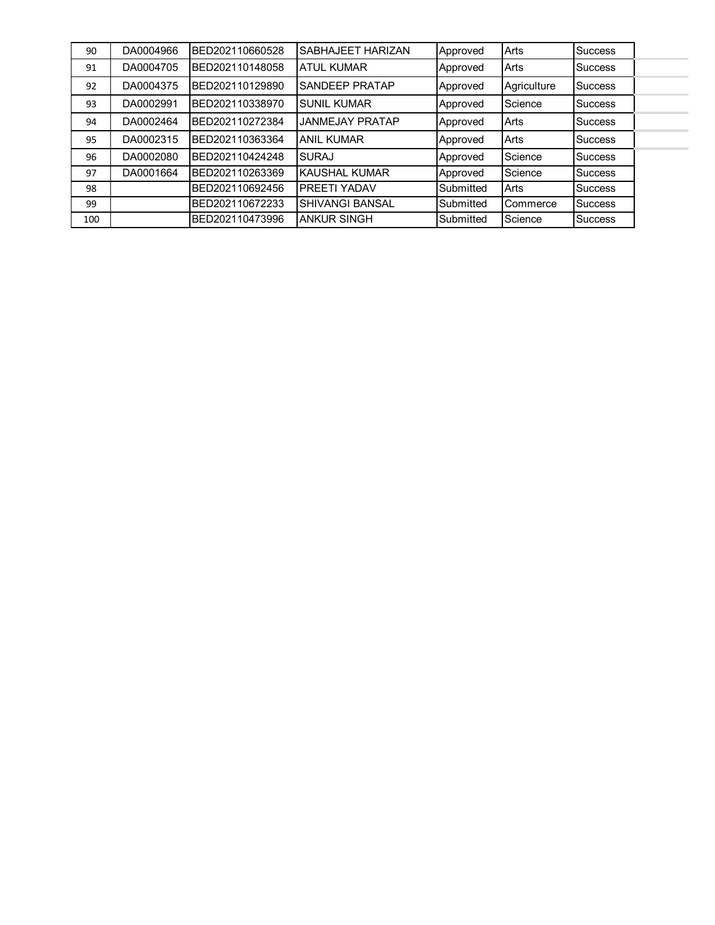| 90  | DA0004966 | BED202110660528 | <b>SABHAJEET HARIZAN</b> | Approved  | Arts        | Success        |
|-----|-----------|-----------------|--------------------------|-----------|-------------|----------------|
| 91  | DA0004705 | BED202110148058 | <b>ATUL KUMAR</b>        | Approved  | Arts        | Success        |
| 92  | DA0004375 | BED202110129890 | <b>SANDEEP PRATAP</b>    | Approved  | Agriculture | Success        |
| 93  | DA0002991 | BED202110338970 | <b>SUNIL KUMAR</b>       | Approved  | Science     | Success        |
| 94  | DA0002464 | BED202110272384 | <b>JANMEJAY PRATAP</b>   | Approved  | Arts        | <b>Success</b> |
| 95  | DA0002315 | BED202110363364 | <b>ANIL KUMAR</b>        | Approved  | Arts        | <b>Success</b> |
| 96  | DA0002080 | BED202110424248 | <b>SURAJ</b>             | Approved  | Science     | <b>Success</b> |
| 97  | DA0001664 | BED202110263369 | <b>KAUSHAL KUMAR</b>     | Approved  | Science     | Success        |
| 98  |           | BED202110692456 | <b>PREETI YADAV</b>      | Submitted | Arts        | Success        |
| 99  |           | BED202110672233 | <b>SHIVANGI BANSAL</b>   | Submitted | Commerce    | Success        |
| 100 |           | BED202110473996 | <b>ANKUR SINGH</b>       | Submitted | Science     | <b>Success</b> |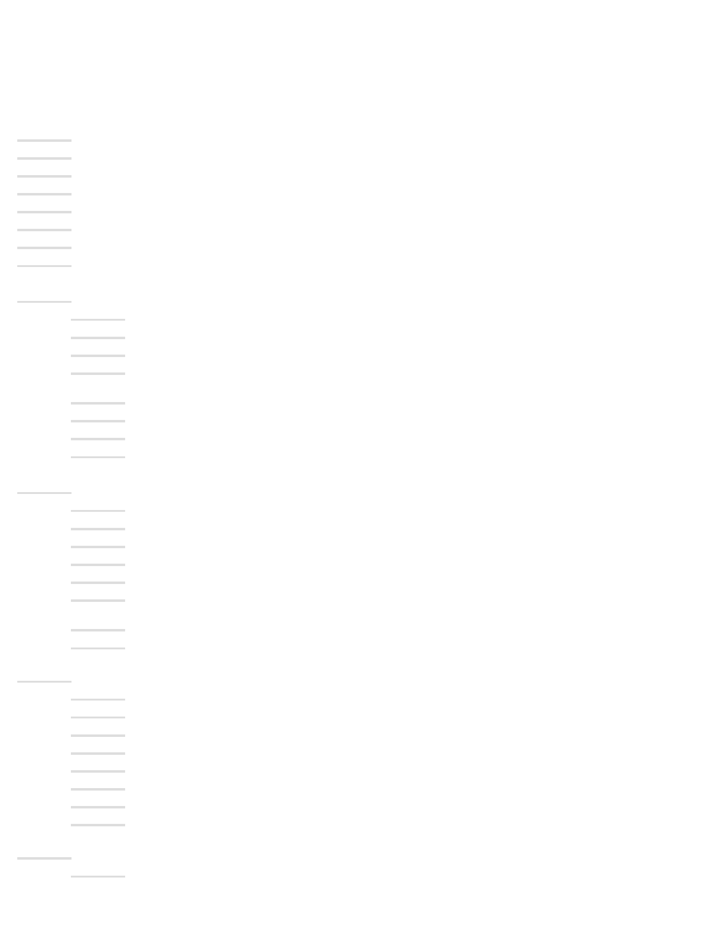$\equiv$  $\overline{\phantom{a}}$  $\equiv$ **Contract Contract**  $\sim$ **Contract Contract Contract Contract**  $\overline{\phantom{a}}$  $\frac{1}{2} \left( \frac{1}{2} \right) \left( \frac{1}{2} \right) \left( \frac{1}{2} \right) \left( \frac{1}{2} \right) \left( \frac{1}{2} \right) \left( \frac{1}{2} \right) \left( \frac{1}{2} \right) \left( \frac{1}{2} \right) \left( \frac{1}{2} \right) \left( \frac{1}{2} \right) \left( \frac{1}{2} \right) \left( \frac{1}{2} \right) \left( \frac{1}{2} \right) \left( \frac{1}{2} \right) \left( \frac{1}{2} \right) \left( \frac{1}{2} \right) \left( \frac$  $\sim$  $\overline{\phantom{a}}$  $\frac{1}{2} \left( \frac{1}{2} \right) \left( \frac{1}{2} \right) \left( \frac{1}{2} \right) \left( \frac{1}{2} \right) \left( \frac{1}{2} \right) \left( \frac{1}{2} \right) \left( \frac{1}{2} \right) \left( \frac{1}{2} \right) \left( \frac{1}{2} \right) \left( \frac{1}{2} \right) \left( \frac{1}{2} \right) \left( \frac{1}{2} \right) \left( \frac{1}{2} \right) \left( \frac{1}{2} \right) \left( \frac{1}{2} \right) \left( \frac{1}{2} \right) \left( \frac$  $\sim$ **Contract Contract**  $\sim$  $\overline{\phantom{0}}$  $\frac{\partial}{\partial t} = \frac{\partial}{\partial t}$  $\equiv$ **Contract Contract**  $\overline{\phantom{a}}$ and the  $\frac{1}{2} \left( \frac{1}{2} \right) \left( \frac{1}{2} \right) \left( \frac{1}{2} \right) \left( \frac{1}{2} \right) \left( \frac{1}{2} \right) \left( \frac{1}{2} \right) \left( \frac{1}{2} \right) \left( \frac{1}{2} \right) \left( \frac{1}{2} \right) \left( \frac{1}{2} \right) \left( \frac{1}{2} \right) \left( \frac{1}{2} \right) \left( \frac{1}{2} \right) \left( \frac{1}{2} \right) \left( \frac{1}{2} \right) \left( \frac{1}{2} \right) \left( \frac$  $\overline{\phantom{a}}$ **Contract Contract**  $\sim$  $\frac{1}{2} \left( \frac{1}{2} \right) \left( \frac{1}{2} \right) \left( \frac{1}{2} \right) \left( \frac{1}{2} \right) \left( \frac{1}{2} \right) \left( \frac{1}{2} \right) \left( \frac{1}{2} \right) \left( \frac{1}{2} \right) \left( \frac{1}{2} \right) \left( \frac{1}{2} \right) \left( \frac{1}{2} \right) \left( \frac{1}{2} \right) \left( \frac{1}{2} \right) \left( \frac{1}{2} \right) \left( \frac{1}{2} \right) \left( \frac{1}{2} \right) \left( \frac$  $\overline{\phantom{a}}$ **Contract Contract** ÷.  $\sim$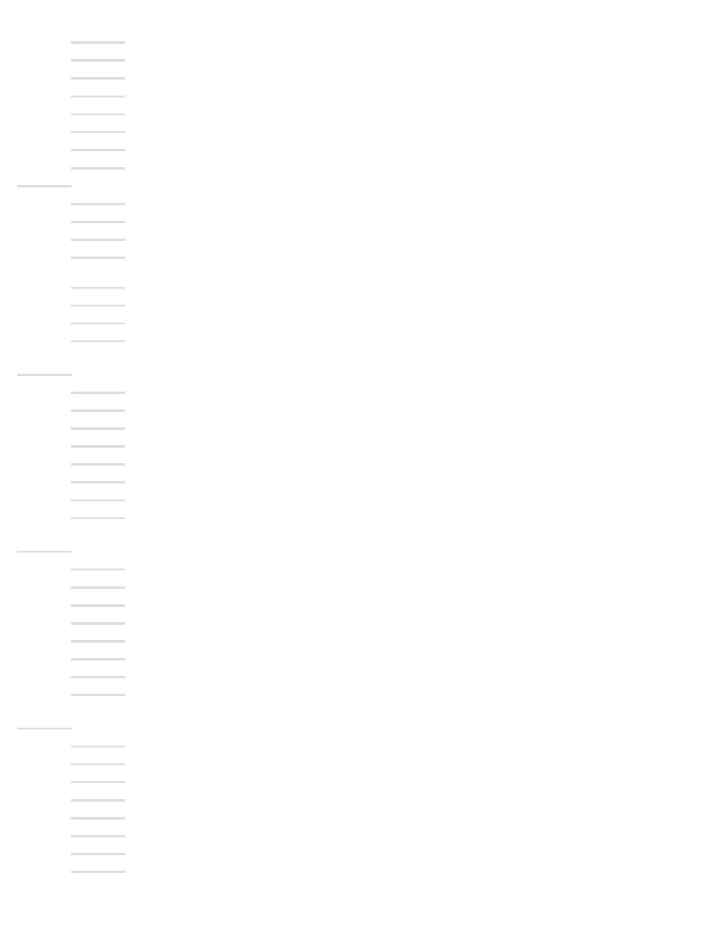**Contract Contract**  $\equiv$  $\frac{1}{2} \left( \frac{1}{2} \right) \left( \frac{1}{2} \right) \left( \frac{1}{2} \right) \left( \frac{1}{2} \right) \left( \frac{1}{2} \right) \left( \frac{1}{2} \right) \left( \frac{1}{2} \right) \left( \frac{1}{2} \right) \left( \frac{1}{2} \right) \left( \frac{1}{2} \right) \left( \frac{1}{2} \right) \left( \frac{1}{2} \right) \left( \frac{1}{2} \right) \left( \frac{1}{2} \right) \left( \frac{1}{2} \right) \left( \frac{1}{2} \right) \left( \frac$  $\frac{1}{\sqrt{1-\frac{1}{2}}}$  $\overline{\phantom{a}}$  $\mathcal{L}^{\mathcal{L}}$ **Contract Contract**  $\overline{\phantom{a}}$  $\overline{\phantom{a}}$  $\overline{\phantom{a}}$ e. **Contract Contract**  $\overline{\phantom{a}}$  $\frac{1}{1-\frac{1}{2}}\int_{0}^{\frac{1}{2}}\left( \frac{1}{\left( \frac{1}{2}\right) ^{2}}-\frac{1}{2}\right) ^{2}d\mu d\nu$  $\overline{\phantom{a}}$  $\sim$  $\overline{\phantom{a}}$ **Contract Contract Contract**  $\overline{\phantom{a}}$  $\frac{1}{2} \left( \frac{1}{2} \right) \left( \frac{1}{2} \right) \left( \frac{1}{2} \right) \left( \frac{1}{2} \right) \left( \frac{1}{2} \right) \left( \frac{1}{2} \right) \left( \frac{1}{2} \right) \left( \frac{1}{2} \right) \left( \frac{1}{2} \right) \left( \frac{1}{2} \right) \left( \frac{1}{2} \right) \left( \frac{1}{2} \right) \left( \frac{1}{2} \right) \left( \frac{1}{2} \right) \left( \frac{1}{2} \right) \left( \frac{1}{2} \right) \left( \frac$  $\overline{\phantom{a}}$  $\equiv$  .  $\overline{\phantom{a}}$  $\sim$  0.000  $\sim$ **Contract Contract Contract**  $\frac{1}{2} \left( \frac{1}{2} \right) \left( \frac{1}{2} \right) \left( \frac{1}{2} \right) \left( \frac{1}{2} \right) \left( \frac{1}{2} \right) \left( \frac{1}{2} \right) \left( \frac{1}{2} \right) \left( \frac{1}{2} \right) \left( \frac{1}{2} \right) \left( \frac{1}{2} \right) \left( \frac{1}{2} \right) \left( \frac{1}{2} \right) \left( \frac{1}{2} \right) \left( \frac{1}{2} \right) \left( \frac{1}{2} \right) \left( \frac{1}{2} \right) \left( \frac$  $\frac{1}{2} \left( \frac{1}{2} \right) \left( \frac{1}{2} \right) \left( \frac{1}{2} \right) \left( \frac{1}{2} \right) \left( \frac{1}{2} \right) \left( \frac{1}{2} \right) \left( \frac{1}{2} \right) \left( \frac{1}{2} \right) \left( \frac{1}{2} \right) \left( \frac{1}{2} \right) \left( \frac{1}{2} \right) \left( \frac{1}{2} \right) \left( \frac{1}{2} \right) \left( \frac{1}{2} \right) \left( \frac{1}{2} \right) \left( \frac{1}{2} \right) \left( \frac$  $\frac{\partial \mathbf{u}}{\partial \mathbf{u}}$